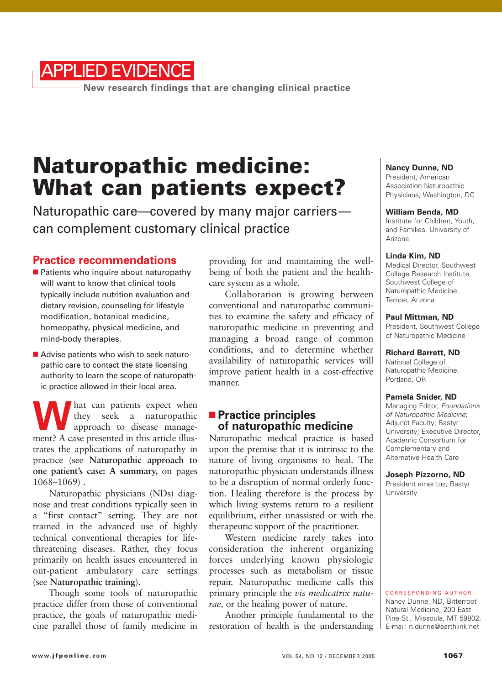

**New research findings that are changing clinical practice**

# **Naturopathic medicine: What can patients expect?**

Naturopathic care—covered by many major carriers can complement customary clinical practice

# **Practice recommendations**

- Patients who inquire about naturopathy will want to know that clinical tools typically include nutrition evaluation and dietary revision, counseling for lifestyle modification, botanical medicine, homeopathy, physical medicine, and mind-body therapies.
- Advise patients who wish to seek naturopathic care to contact the state licensing authority to learn the scope of naturopathic practice allowed in their local area.

We hat can patients expect when<br>they seek a naturopathic<br>approach to disease manage-<br>ment? A case presented in this article illus they seek a naturopathic approach to disease management? A case presented in this article illustrates the applications of naturopathy in practice (see **Naturopathic approach to one patient's case: A summary,** on pages 1068–1069) .

Naturopathic physicians (NDs) diagnose and treat conditions typically seen in a "first contact" setting. They are not trained in the advanced use of highly technical conventional therapies for lifethreatening diseases. Rather, they focus primarily on health issues encountered in out-patient ambulatory care settings (see **Naturopathic training**).

Though some tools of naturopathic practice differ from those of conventional practice, the goals of naturopathic medicine parallel those of family medicine in

providing for and maintaining the wellbeing of both the patient and the healthcare system as a whole.

Collaboration is growing between conventional and naturopathic communities to examine the safety and efficacy of naturopathic medicine in preventing and managing a broad range of common conditions, and to determine whether availability of naturopathic services will improve patient health in a cost-effective manner.

# ■ **Practice principles of naturopathic medicine**

Naturopathic medical practice is based upon the premise that it is intrinsic to the nature of living organisms to heal. The naturopathic physician understands illness to be a disruption of normal orderly function. Healing therefore is the process by which living systems return to a resilient equilibrium, either unassisted or with the therapeutic support of the practitioner.

Western medicine rarely takes into consideration the inherent organizing forces underlying known physiologic processes such as metabolism or tissue repair. Naturopathic medicine calls this primary principle the *vis medicatrix naturae,* or the healing power of nature.

Another principle fundamental to the restoration of health is the understanding

#### **Nancy Dunne, ND**

President, American Association Naturopathic Physicians, Washington, DC

#### **William Benda, MD**

Institute for Children, Youth, and Families, University of Arizona

### **Linda Kim, ND**

Medical Director, Southwest College Research Institute, Southwest College of Naturopathic Medicine, Tempe, Arizona

#### **Paul Mittman, ND**

President, Southwest College of Naturopathic Medicine

#### **Richard Barrett, ND**

National College of Naturopathic Medicine, Portland, OR

#### **Pamela Snider, ND**

Managing Editor, Foundations of Naturopathic Medicine; Adjunct Faculty; Bastyr University; Executive Director, Academic Consortium for Complementary and Alternative Health Care

**Joseph Pizzorno, ND**

President emeritus, Bastyr University

CORRESPONDING AUTHOR Nancy Dunne, ND, Bitterroot Natural Medicine, 200 East Pine St., Missoula, MT 59802. E-mail: n.dunne@earthlink.net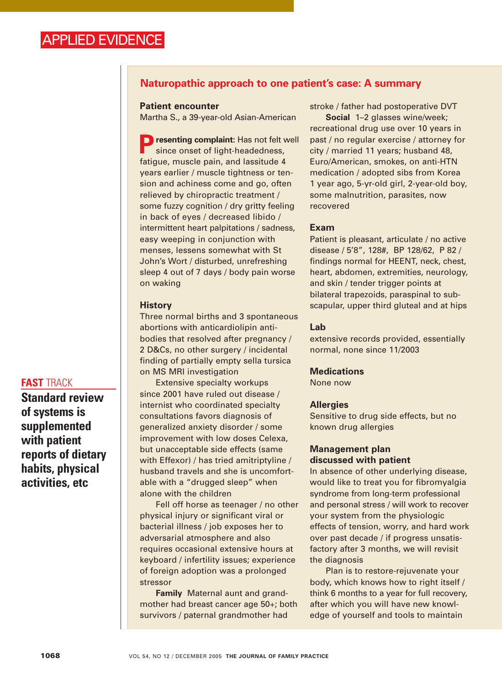# **Naturopathic approach to one patient's case: A summary**

### **Patient encounter**

Martha S., a 39-year-old Asian-American

**P**resenting complaint: Has not felt well since onset of light-headedness, fatigue, muscle pain, and lassitude 4 years earlier / muscle tightness or tension and achiness come and go, often relieved by chiropractic treatment / some fuzzy cognition / dry gritty feeling in back of eyes / decreased libido / intermittent heart palpitations / sadness, easy weeping in conjunction with menses, lessens somewhat with St John's Wort / disturbed, unrefreshing sleep 4 out of 7 days / body pain worse on waking

### **History**

Three normal births and 3 spontaneous abortions with anticardiolipin antibodies that resolved after pregnancy / 2 D&Cs, no other surgery / incidental finding of partially empty sella tursica on MS MRI investigation

Extensive specialty workups since 2001 have ruled out disease / internist who coordinated specialty consultations favors diagnosis of generalized anxiety disorder / some improvement with low doses Celexa, but unacceptable side effects (same with Effexor) / has tried amitriptyline / husband travels and she is uncomfortable with a "drugged sleep" when alone with the children

Fell off horse as teenager / no other physical injury or significant viral or bacterial illness / job exposes her to adversarial atmosphere and also requires occasional extensive hours at keyboard / infertility issues; experience of foreign adoption was a prolonged stressor

**Family** Maternal aunt and grandmother had breast cancer age 50+; both survivors / paternal grandmother had

stroke / father had postoperative DVT

**Social** 1–2 glasses wine/week; recreational drug use over 10 years in past / no regular exercise / attorney for city / married 11 years; husband 48, Euro/American, smokes, on anti-HTN medication / adopted sibs from Korea 1 year ago, 5-yr-old girl, 2-year-old boy, some malnutrition, parasites, now recovered

### **Exam**

Patient is pleasant, articulate / no active disease / 5'8", 128#, BP 128/62, P 82 / findings normal for HEENT, neck, chest, heart, abdomen, extremities, neurology, and skin / tender trigger points at bilateral trapezoids, paraspinal to subscapular, upper third gluteal and at hips

### **Lab**

extensive records provided, essentially normal, none since 11/2003

#### **Medications**

None now

#### **Allergies**

Sensitive to drug side effects, but no known drug allergies

### **Management plan discussed with patient**

In absence of other underlying disease, would like to treat you for fibromyalgia syndrome from long-term professional and personal stress / will work to recover your system from the physiologic effects of tension, worry, and hard work over past decade / if progress unsatisfactory after 3 months, we will revisit the diagnosis

Plan is to restore-rejuvenate your body, which knows how to right itself / think 6 months to a year for full recovery, after which you will have new knowledge of yourself and tools to maintain

### **FAST** TRACK

**Standard review of systems is supplemented with patient reports of dietary habits, physical activities, etc**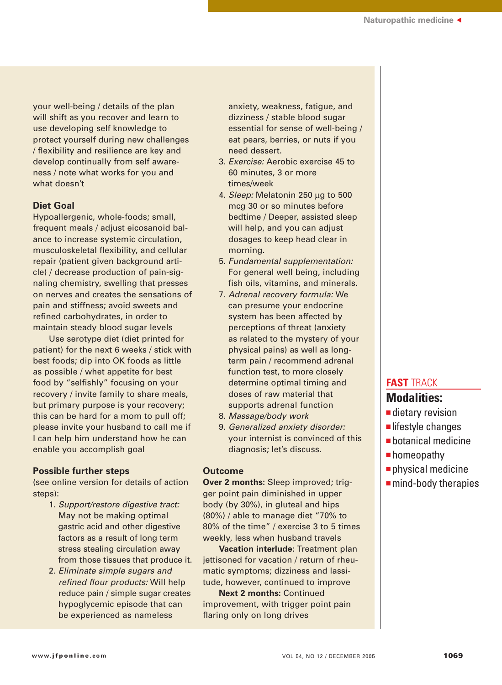your well-being / details of the plan will shift as you recover and learn to use developing self knowledge to protect yourself during new challenges / flexibility and resilience are key and develop continually from self awareness / note what works for you and what doesn't

# **Diet Goal**

Hypoallergenic, whole-foods; small, frequent meals / adjust eicosanoid balance to increase systemic circulation, musculoskeletal flexibility, and cellular repair (patient given background article) / decrease production of pain-signaling chemistry, swelling that presses on nerves and creates the sensations of pain and stiffness; avoid sweets and refined carbohydrates, in order to maintain steady blood sugar levels

Use serotype diet (diet printed for patient) for the next 6 weeks / stick with best foods; dip into OK foods as little as possible / whet appetite for best food by "selfishly" focusing on your recovery / invite family to share meals, but primary purpose is your recovery; this can be hard for a mom to pull off; please invite your husband to call me if I can help him understand how he can enable you accomplish goal

### **Possible further steps**

(see online version for details of action steps):

- 1. Support/restore digestive tract: May not be making optimal gastric acid and other digestive factors as a result of long term stress stealing circulation away from those tissues that produce it.
- 2. Eliminate simple sugars and refined flour products: Will help reduce pain / simple sugar creates hypoglycemic episode that can be experienced as nameless

anxiety, weakness, fatigue, and dizziness / stable blood sugar essential for sense of well-being / eat pears, berries, or nuts if you need dessert.

- 3. Exercise: Aerobic exercise 45 to 60 minutes, 3 or more times/week
- 4. Sleep: Melatonin 250 µg to 500 mcg 30 or so minutes before bedtime / Deeper, assisted sleep will help, and you can adjust dosages to keep head clear in morning.
- 5. Fundamental supplementation: For general well being, including fish oils, vitamins, and minerals.
- 7. Adrenal recovery formula: We can presume your endocrine system has been affected by perceptions of threat (anxiety as related to the mystery of your physical pains) as well as longterm pain / recommend adrenal function test, to more closely determine optimal timing and doses of raw material that supports adrenal function
- 8. Massage/body work
- 9. Generalized anxiety disorder: your internist is convinced of this diagnosis; let's discuss.

### **Outcome**

**Over 2 months:** Sleep improved; trigger point pain diminished in upper body (by 30%), in gluteal and hips (80%) / able to manage diet "70% to 80% of the time" / exercise 3 to 5 times weekly, less when husband travels

**Vacation interlude:** Treatment plan jettisoned for vacation / return of rheumatic symptoms; dizziness and lassitude, however, continued to improve

**Next 2 months:** Continued improvement, with trigger point pain flaring only on long drives

# **FAST** TRACK

# **Modalities:**

- dietary revision
- lifestyle changes
- botanical medicine
- homeopathy
- physical medicine
- mind-body therapies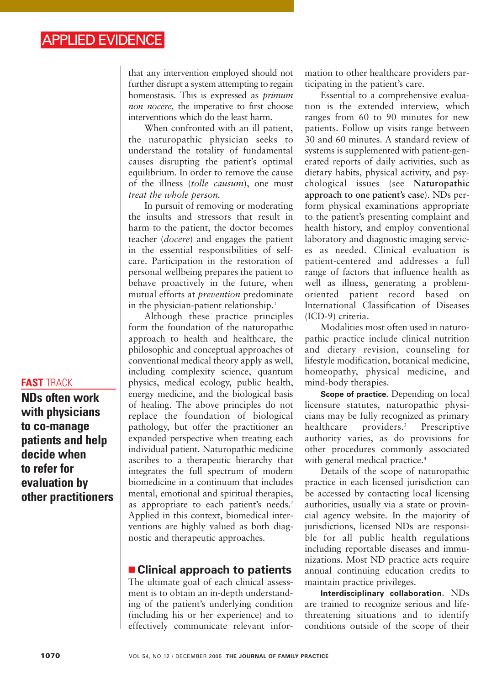that any intervention employed should not further disrupt a system attempting to regain homeostasis. This is expressed as *primum non nocere,* the imperative to first choose interventions which do the least harm.

When confronted with an ill patient, the naturopathic physician seeks to understand the totality of fundamental causes disrupting the patient's optimal equilibrium. In order to remove the cause of the illness (*tolle causum*), one must *treat the whole person.*

In pursuit of removing or moderating the insults and stressors that result in harm to the patient, the doctor becomes teacher (*docere*) and engages the patient in the essential responsibilities of selfcare. Participation in the restoration of personal wellbeing prepares the patient to behave proactively in the future, when mutual efforts at *prevention* predominate in the physician-patient relationship.<sup>1</sup>

Although these practice principles form the foundation of the naturopathic approach to health and healthcare, the philosophic and conceptual approaches of conventional medical theory apply as well, including complexity science, quantum physics, medical ecology, public health, energy medicine, and the biological basis of healing. The above principles do not replace the foundation of biological pathology, but offer the practitioner an expanded perspective when treating each individual patient. Naturopathic medicine ascribes to a therapeutic hierarchy that integrates the full spectrum of modern biomedicine in a continuum that includes mental, emotional and spiritual therapies, as appropriate to each patient's needs.<sup>2</sup> Applied in this context, biomedical interventions are highly valued as both diagnostic and therapeutic approaches.

# ■ **Clinical approach to patients**

The ultimate goal of each clinical assessment is to obtain an in-depth understanding of the patient's underlying condition (including his or her experience) and to effectively communicate relevant information to other healthcare providers participating in the patient's care.

Essential to a comprehensive evaluation is the extended interview, which ranges from 60 to 90 minutes for new patients. Follow up visits range between 30 and 60 minutes. A standard review of systems is supplemented with patient-generated reports of daily activities, such as dietary habits, physical activity, and psychological issues (see **Naturopathic approach to one patient's case**). NDs perform physical examinations appropriate to the patient's presenting complaint and health history, and employ conventional laboratory and diagnostic imaging services as needed. Clinical evaluation is patient-centered and addresses a full range of factors that influence health as well as illness, generating a problemoriented patient record based on International Classification of Diseases (ICD-9) criteria.

Modalities most often used in naturopathic practice include clinical nutrition and dietary revision, counseling for lifestyle modification, botanical medicine, homeopathy, physical medicine, and mind-body therapies.

**Scope of practice.** Depending on local licensure statutes, naturopathic physicians may be fully recognized as primary healthcare providers.<sup>3</sup> Prescriptive authority varies, as do provisions for other procedures commonly associated with general medical practice.<sup>4</sup>

Details of the scope of naturopathic practice in each licensed jurisdiction can be accessed by contacting local licensing authorities, usually via a state or provincial agency website. In the majority of jurisdictions, licensed NDs are responsible for all public health regulations including reportable diseases and immunizations. Most ND practice acts require annual continuing education credits to maintain practice privileges.

**Interdisciplinary collaboration.** NDs are trained to recognize serious and lifethreatening situations and to identify conditions outside of the scope of their

# **FAST** TRACK

**NDs often work with physicians to co-manage patients and help decide when to refer for evaluation by other practitioners**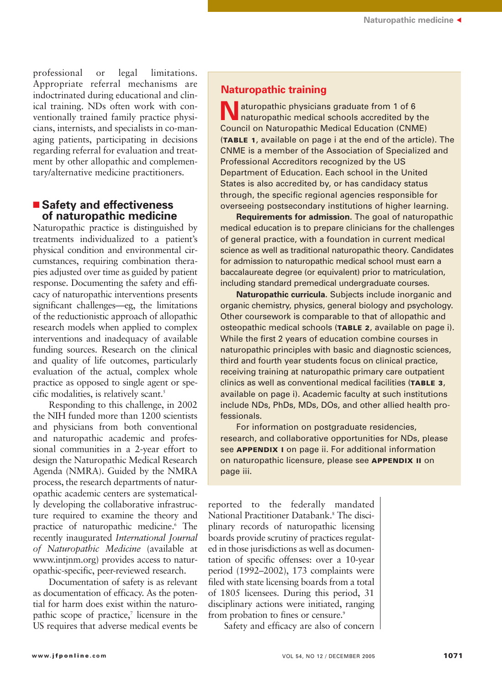professional or legal limitations. Appropriate referral mechanisms are indoctrinated during educational and clinical training. NDs often work with conventionally trained family practice physicians, internists, and specialists in co-managing patients, participating in decisions regarding referral for evaluation and treatment by other allopathic and complementary/alternative medicine practitioners.

### ■ Safety and effectiveness **of naturopathic medicine**

Naturopathic practice is distinguished by treatments individualized to a patient's physical condition and environmental circumstances, requiring combination therapies adjusted over time as guided by patient response. Documenting the safety and efficacy of naturopathic interventions presents significant challenges—eg, the limitations of the reductionistic approach of allopathic research models when applied to complex interventions and inadequacy of available funding sources. Research on the clinical and quality of life outcomes, particularly evaluation of the actual, complex whole practice as opposed to single agent or specific modalities, is relatively scant.<sup>5</sup>

Responding to this challenge, in 2002 the NIH funded more than 1200 scientists and physicians from both conventional and naturopathic academic and professional communities in a 2-year effort to design the Naturopathic Medical Research Agenda (NMRA). Guided by the NMRA process, the research departments of naturopathic academic centers are systematically developing the collaborative infrastructure required to examine the theory and practice of naturopathic medicine.<sup>6</sup> The recently inaugurated *International Journal of Naturopathic Medicine* (available at www.intjnm.org) provides access to naturopathic-specific, peer-reviewed research.

Documentation of safety is as relevant as documentation of efficacy. As the potential for harm does exist within the naturopathic scope of practice, $\bar{z}$  licensure in the US requires that adverse medical events be

# **Naturopathic training**

**N**aturopathic physicians graduate from 1 of 6 naturopathic medical schools accredited by the Council on Naturopathic Medical Education (CNME) (**TABLE 1**, available on page i at the end of the article). The CNME is a member of the Association of Specialized and Professional Accreditors recognized by the US Department of Education. Each school in the United States is also accredited by, or has candidacy status through, the specific regional agencies responsible for overseeing postsecondary institutions of higher learning.

**Requirements for admission.** The goal of naturopathic medical education is to prepare clinicians for the challenges of general practice, with a foundation in current medical science as well as traditional naturopathic theory. Candidates for admission to naturopathic medical school must earn a baccalaureate degree (or equivalent) prior to matriculation, including standard premedical undergraduate courses.

**Naturopathic curricula.** Subjects include inorganic and organic chemistry, physics, general biology and psychology. Other coursework is comparable to that of allopathic and osteopathic medical schools (**TABLE 2**, available on page i). While the first 2 years of education combine courses in naturopathic principles with basic and diagnostic sciences, third and fourth year students focus on clinical practice, receiving training at naturopathic primary care outpatient clinics as well as conventional medical facilities (**TABLE 3**, available on page i). Academic faculty at such institutions include NDs, PhDs, MDs, DOs, and other allied health professionals.

For information on postgraduate residencies, research, and collaborative opportunities for NDs, please see **APPENDIX I** on page ii. For additional information on naturopathic licensure, please see **APPENDIX II** on page iii.

reported to the federally mandated National Practitioner Databank.8 The disciplinary records of naturopathic licensing boards provide scrutiny of practices regulated in those jurisdictions as well as documentation of specific offenses: over a 10-year period (1992–2002), 173 complaints were filed with state licensing boards from a total of 1805 licensees. During this period, 31 disciplinary actions were initiated, ranging from probation to fines or censure.<sup>9</sup>

Safety and efficacy are also of concern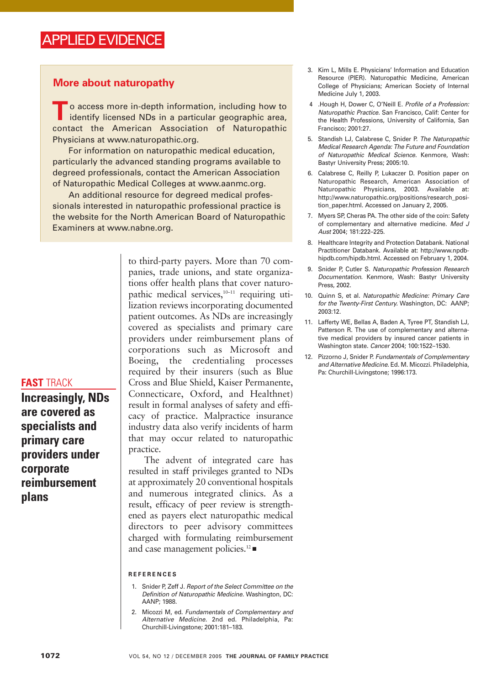# **More about naturopathy**

**T** o access more in-depth information, including how to identify licensed NDs in a particular geographic area, contact the American Association of Naturopathic Physicians at www.naturopathic.org.

For information on naturopathic medical education, particularly the advanced standing programs available to degreed professionals, contact the American Association of Naturopathic Medical Colleges at www.aanmc.org.

An additional resource for degreed medical professionals interested in naturopathic professional practice is the website for the North American Board of Naturopathic Examiners at www.nabne.org.

> to third-party payers. More than 70 companies, trade unions, and state organizations offer health plans that cover naturopathic medical services,<sup>10–11</sup> requiring utilization reviews incorporating documented patient outcomes. As NDs are increasingly covered as specialists and primary care providers under reimbursement plans of corporations such as Microsoft and Boeing, the credentialing processes required by their insurers (such as Blue Cross and Blue Shield, Kaiser Permanente, Connecticare, Oxford, and Healthnet) result in formal analyses of safety and efficacy of practice. Malpractice insurance industry data also verify incidents of harm that may occur related to naturopathic practice.

> The advent of integrated care has resulted in staff privileges granted to NDs at approximately 20 conventional hospitals and numerous integrated clinics. As a result, efficacy of peer review is strengthened as payers elect naturopathic medical directors to peer advisory committees charged with formulating reimbursement and case management policies.12 ■

#### **REFERENCES**

- 1. Snider P, Zeff J. Report of the Select Committee on the Definition of Naturopathic Medicine. Washington, DC: AANP; 1988.
- 2. Micozzi M, ed. Fundamentals of Complementary and Alternative Medicine. 2nd ed. Philadelphia, Pa: Churchill-Livingstone; 2001:181–183.
- 3. Kim L, Mills E. Physicians' Information and Education Resource (PIER). Naturopathic Medicine, American College of Physicians; American Society of Internal Medicine July 1, 2003.
- 4 .Hough H, Dower C, O'Neill E. Profile of a Profession: Naturopathic Practice. San Francisco, Calif: Center for the Health Professions, University of California, San Francisco; 2001:27.
- 5. Standish LJ, Calabrese C, Snider P. The Naturopathic Medical Research Agenda: The Future and Foundation of Naturopathic Medical Science. Kenmore, Wash: Bastyr University Press; 2005:10.
- 6. Calabrese C, Reilly P, Lukaczer D. Position paper on Naturopathic Research, American Association of Naturopathic Physicians, 2003. Available at: http://www.naturopathic.org/positions/research\_position\_paper.html. Accessed on January 2, 2005.
- 7. Myers SP, Cheras PA. The other side of the coin: Safety of complementary and alternative medicine. Med J Aust 2004; 181:222–225.
- 8. Healthcare Integrity and Protection Databank. National Practitioner Databank. Available at: http://www.npdbhipdb.com/hipdb.html. Accessed on February 1, 2004.
- 9. Snider P, Cutler S. Naturopathic Profession Research Documentation. Kenmore, Wash: Bastyr University Press, 2002.
- 10. Quinn S, et al. Naturopathic Medicine: Primary Care for the Twenty-First Century. Washington, DC: AANP; 2003:12.
- 11. Lafferty WE, Bellas A, Baden A, Tyree PT, Standish LJ, Patterson R. The use of complementary and alternative medical providers by insured cancer patients in Washington state. Cancer 2004; 100:1522–1530.
- 12. Pizzorno J. Snider P. Fundamentals of Complementary and Alternative Medicine. Ed. M. Micozzi. Philadelphia, Pa: Churchill-Livingstone; 1996:173.

**Increasingly, NDs**

**FAST** TRACK

**are covered as specialists and primary care providers under corporate reimbursement plans**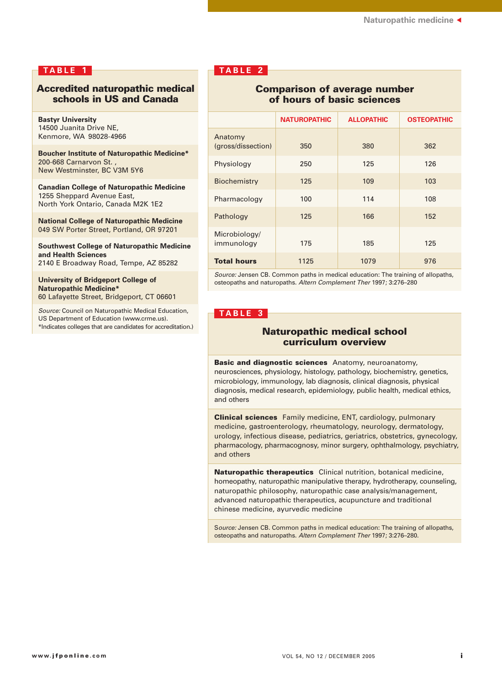### **TABLE 1**

### **Accredited naturopathic medical schools in US and Canada**

**Bastyr University** 14500 Juanita Drive NE, Kenmore, WA 98028-4966

**Boucher Institute of Naturopathic Medicine\*** 200-668 Carnarvon St. , New Westminster, BC V3M 5Y6

**Canadian College of Naturopathic Medicine** 1255 Sheppard Avenue East, North York Ontario, Canada M2K 1E2

**National College of Naturopathic Medicine** 049 SW Porter Street, Portland, OR 97201

**Southwest College of Naturopathic Medicine and Health Sciences** 2140 E Broadway Road, Tempe, AZ 85282

**University of Bridgeport College of Naturopathic Medicine\*** 60 Lafayette Street, Bridgeport, CT 06601

Source: Council on Naturopathic Medical Education, US Department of Education (www.crme.us).

\*Indicates colleges that are candidates for accreditation.)

# **TABLE 2**

### **Comparison of average number of hours of basic sciences**

|                               | <b>NATUROPATHIC</b> | <b>ALLOPATHIC</b> | <b>OSTEOPATHIC</b> |
|-------------------------------|---------------------|-------------------|--------------------|
| Anatomy<br>(gross/dissection) | 350                 | 380               | 362                |
| Physiology                    | 250                 | 125               | 126                |
| Biochemistry                  | 125                 | 109               | 103                |
| Pharmacology                  | 100                 | 114               | 108                |
| Pathology                     | 125                 | 166               | 152                |
| Microbiology/<br>immunology   | 175                 | 185               | 125                |
| <b>Total hours</b>            | 1125                | 1079              | 976                |

Source: Jensen CB. Common paths in medical education: The training of allopaths, osteopaths and naturopaths. Altern Complement Ther 1997; 3:276–280

### **TABLE 3**

### **Naturopathic medical school curriculum overview**

**Basic and diagnostic sciences** Anatomy, neuroanatomy, neurosciences, physiology, histology, pathology, biochemistry, genetics, microbiology, immunology, lab diagnosis, clinical diagnosis, physical diagnosis, medical research, epidemiology, public health, medical ethics, and others

**Clinical sciences** Family medicine, ENT, cardiology, pulmonary medicine, gastroenterology, rheumatology, neurology, dermatology, urology, infectious disease, pediatrics, geriatrics, obstetrics, gynecology, pharmacology, pharmacognosy, minor surgery, ophthalmology, psychiatry, and others

**Naturopathic therapeutics** Clinical nutrition, botanical medicine, homeopathy, naturopathic manipulative therapy, hydrotherapy, counseling, naturopathic philosophy, naturopathic case analysis/management, advanced naturopathic therapeutics, acupuncture and traditional chinese medicine, ayurvedic medicine

Source: Jensen CB. Common paths in medical education: The training of allopaths, osteopaths and naturopaths. Altern Complement Ther 1997; 3:276–280.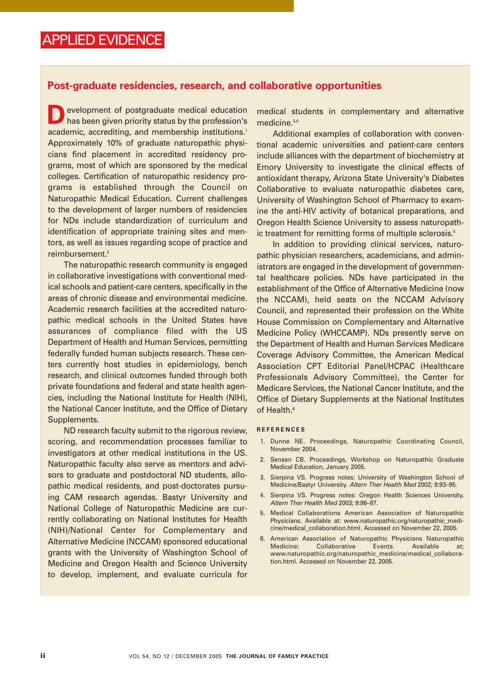### **Post-graduate residencies, research, and collaborative opportunities**

evelopment of postgraduate medical education has been given priority status by the profession's academic, accrediting, and membership institutions.<sup>1</sup> Approximately 10% of graduate naturopathic physicians find placement in accredited residency programs, most of which are sponsored by the medical colleges. Certification of naturopathic residency programs is established through the Council on Naturopathic Medical Education. Current challenges to the development of larger numbers of residencies for NDs include standardization of curriculum and identification of appropriate training sites and mentors, as well as issues regarding scope of practice and reimbursement.<sup>2</sup>

The naturopathic research community is engaged in collaborative investigations with conventional medical schools and patient-care centers, specifically in the areas of chronic disease and environmental medicine. Academic research facilities at the accredited naturopathic medical schools in the United States have assurances of compliance filed with the US Department of Health and Human Services, permitting federally funded human subjects research. These centers currently host studies in epidemiology, bench research, and clinical outcomes funded through both private foundations and federal and state health agencies, including the National Institute for Health (NIH), the National Cancer Institute, and the Office of Dietary Supplements.

ND research faculty submit to the rigorous review, scoring, and recommendation processes familiar to investigators at other medical institutions in the US. Naturopathic faculty also serve as mentors and advisors to graduate and postdoctoral ND students, allopathic medical residents, and post-doctorates pursuing CAM research agendas. Bastyr University and National College of Naturopathic Medicine are currently collaborating on National Institutes for Health (NIH)/National Center for Complementary and Alternative Medicine (NCCAM) sponsored educational grants with the University of Washington School of Medicine and Oregon Health and Science University to develop, implement, and evaluate curricula for

medical students in complementary and alternative medicine.3,4

Additional examples of collaboration with conventional academic universities and patient-care centers include alliances with the department of biochemistry at Emory University to investigate the clinical effects of antioxidant therapy, Arizona State University's Diabetes Collaborative to evaluate naturopathic diabetes care, University of Washington School of Pharmacy to examine the anti-HIV activity of botanical preparations, and Oregon Health Science University to assess naturopathic treatment for remitting forms of multiple sclerosis.<sup>5</sup>

In addition to providing clinical services, naturopathic physician researchers, academicians, and administrators are engaged in the development of governmental healthcare policies. NDs have participated in the establishment of the Office of Alternative Medicine (now the NCCAM), held seats on the NCCAM Advisory Council, and represented their profession on the White House Commission on Complementary and Alternative Medicine Policy (WHCCAMP). NDs presently serve on the Department of Health and Human Services Medicare Coverage Advisory Committee, the American Medical Association CPT Editorial Panel/HCPAC (Healthcare Professionals Advisory Committee), the Center for Medicare Services, the National Cancer Institute, and the Office of Dietary Supplements at the National Institutes of Health.<sup>6</sup>

#### **REFERENCES**

- 1. Dunne NE. Proceedings, Naturopathic Coordinating Council, November 2004.
- 2. Sensen CB. Proceedings, Workshop on Naturopathic Graduate Medical Education, January 2005.
- 3. Sierpina VS. Progress notes: University of Washington School of Medicine/Bastyr University. Altern Ther Health Med 2002; 8:93–95.
- 4. Sierpina VS. Progress notes: Oregon Health Sciences University. Altern Ther Health Med 2003; 9:86–87.
- 5. Medical Collaborations American Association of Naturopathic Physicians. Available at: www.naturopathic.org/naturopathic\_medicine/medical\_collaboration.html. Accessed on November 22, 2005.
- 6. American Association of Naturopathic Physicians Naturopathic Medicine: Collaborative Events. Available at: www.naturopathic.org/naturopathic\_medicine/medical\_collaboration.html. Accessed on November 22, 2005.